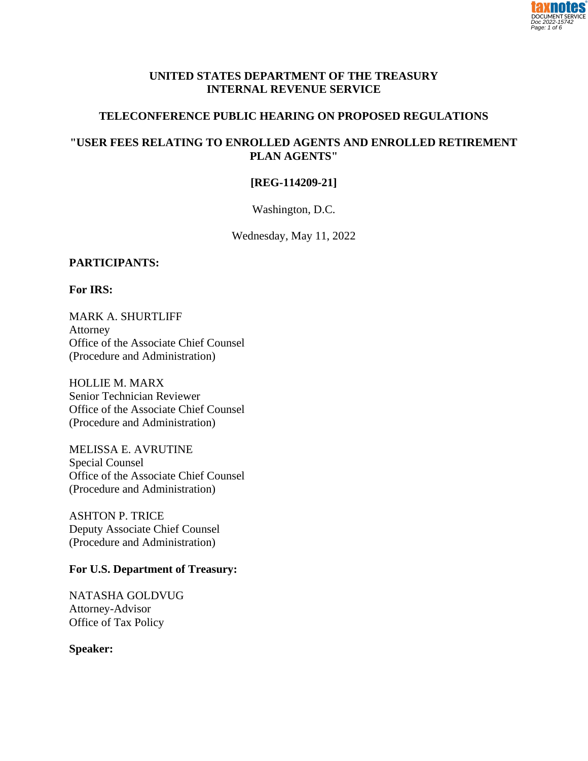

## **UNITED STATES DEPARTMENT OF THE TREASURY INTERNAL REVENUE SERVICE**

## **TELECONFERENCE PUBLIC HEARING ON PROPOSED REGULATIONS**

# **"USER FEES RELATING TO ENROLLED AGENTS AND ENROLLED RETIREMENT PLAN AGENTS"**

## **[REG-114209-21]**

Washington, D.C.

Wednesday, May 11, 2022

## **PARTICIPANTS:**

**For IRS:**

MARK A. SHURTLIFF Attorney Office of the Associate Chief Counsel (Procedure and Administration)

HOLLIE M. MARX Senior Technician Reviewer Office of the Associate Chief Counsel (Procedure and Administration)

MELISSA E. AVRUTINE Special Counsel Office of the Associate Chief Counsel (Procedure and Administration)

ASHTON P. TRICE Deputy Associate Chief Counsel (Procedure and Administration)

## **For U.S. Department of Treasury:**

NATASHA GOLDVUG Attorney-Advisor Office of Tax Policy

**Speaker:**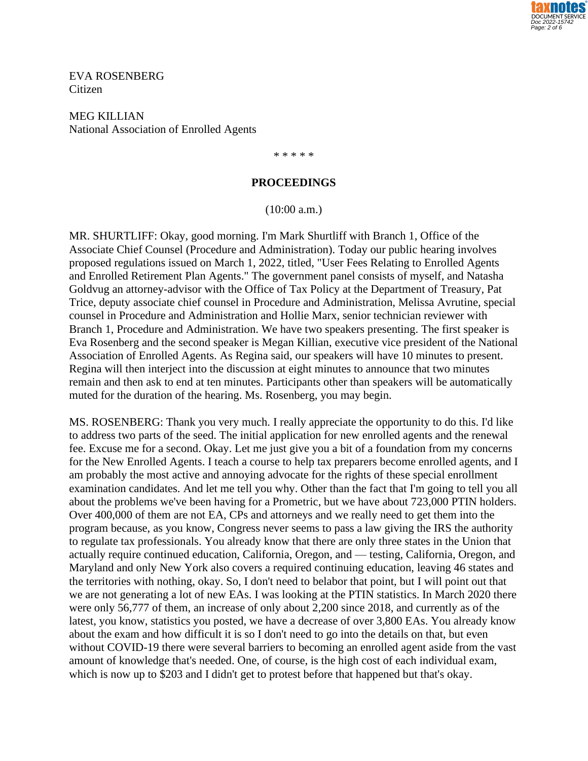

EVA ROSENBERG Citizen

MEG KILLIAN National Association of Enrolled Agents

#### \* \* \* \* \*

#### **PROCEEDINGS**

(10:00 a.m.)

MR. SHURTLIFF: Okay, good morning. I'm Mark Shurtliff with Branch 1, Office of the Associate Chief Counsel (Procedure and Administration). Today our public hearing involves proposed regulations issued on March 1, 2022, titled, "User Fees Relating to Enrolled Agents and Enrolled Retirement Plan Agents." The government panel consists of myself, and Natasha Goldvug an attorney-advisor with the Office of Tax Policy at the Department of Treasury, Pat Trice, deputy associate chief counsel in Procedure and Administration, Melissa Avrutine, special counsel in Procedure and Administration and Hollie Marx, senior technician reviewer with Branch 1, Procedure and Administration. We have two speakers presenting. The first speaker is Eva Rosenberg and the second speaker is Megan Killian, executive vice president of the National Association of Enrolled Agents. As Regina said, our speakers will have 10 minutes to present. Regina will then interject into the discussion at eight minutes to announce that two minutes remain and then ask to end at ten minutes. Participants other than speakers will be automatically muted for the duration of the hearing. Ms. Rosenberg, you may begin.

MS. ROSENBERG: Thank you very much. I really appreciate the opportunity to do this. I'd like to address two parts of the seed. The initial application for new enrolled agents and the renewal fee. Excuse me for a second. Okay. Let me just give you a bit of a foundation from my concerns for the New Enrolled Agents. I teach a course to help tax preparers become enrolled agents, and I am probably the most active and annoying advocate for the rights of these special enrollment examination candidates. And let me tell you why. Other than the fact that I'm going to tell you all about the problems we've been having for a Prometric, but we have about 723,000 PTIN holders. Over 400,000 of them are not EA, CPs and attorneys and we really need to get them into the program because, as you know, Congress never seems to pass a law giving the IRS the authority to regulate tax professionals. You already know that there are only three states in the Union that actually require continued education, California, Oregon, and — testing, California, Oregon, and Maryland and only New York also covers a required continuing education, leaving 46 states and the territories with nothing, okay. So, I don't need to belabor that point, but I will point out that we are not generating a lot of new EAs. I was looking at the PTIN statistics. In March 2020 there were only 56,777 of them, an increase of only about 2,200 since 2018, and currently as of the latest, you know, statistics you posted, we have a decrease of over 3,800 EAs. You already know about the exam and how difficult it is so I don't need to go into the details on that, but even without COVID-19 there were several barriers to becoming an enrolled agent aside from the vast amount of knowledge that's needed. One, of course, is the high cost of each individual exam, which is now up to \$203 and I didn't get to protest before that happened but that's okay.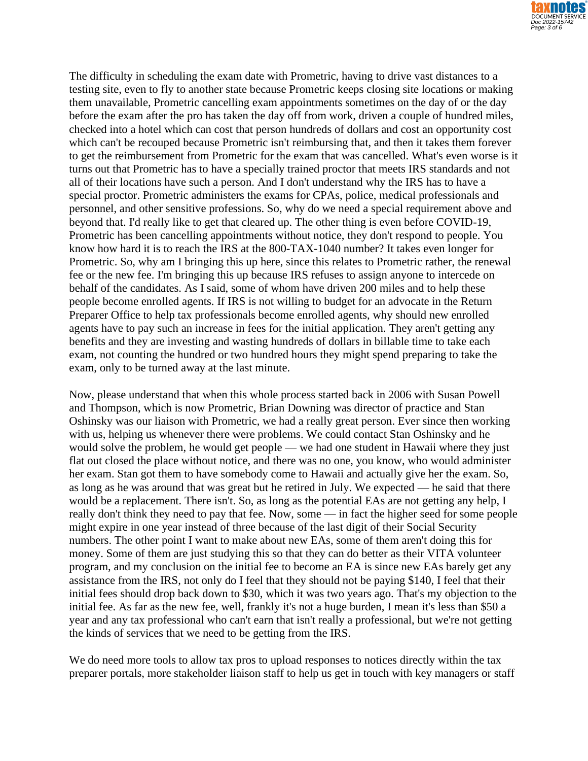

The difficulty in scheduling the exam date with Prometric, having to drive vast distances to a testing site, even to fly to another state because Prometric keeps closing site locations or making them unavailable, Prometric cancelling exam appointments sometimes on the day of or the day before the exam after the pro has taken the day off from work, driven a couple of hundred miles, checked into a hotel which can cost that person hundreds of dollars and cost an opportunity cost which can't be recouped because Prometric isn't reimbursing that, and then it takes them forever to get the reimbursement from Prometric for the exam that was cancelled. What's even worse is it turns out that Prometric has to have a specially trained proctor that meets IRS standards and not all of their locations have such a person. And I don't understand why the IRS has to have a special proctor. Prometric administers the exams for CPAs, police, medical professionals and personnel, and other sensitive professions. So, why do we need a special requirement above and beyond that. I'd really like to get that cleared up. The other thing is even before COVID-19, Prometric has been cancelling appointments without notice, they don't respond to people. You know how hard it is to reach the IRS at the 800-TAX-1040 number? It takes even longer for Prometric. So, why am I bringing this up here, since this relates to Prometric rather, the renewal fee or the new fee. I'm bringing this up because IRS refuses to assign anyone to intercede on behalf of the candidates. As I said, some of whom have driven 200 miles and to help these people become enrolled agents. If IRS is not willing to budget for an advocate in the Return Preparer Office to help tax professionals become enrolled agents, why should new enrolled agents have to pay such an increase in fees for the initial application. They aren't getting any benefits and they are investing and wasting hundreds of dollars in billable time to take each exam, not counting the hundred or two hundred hours they might spend preparing to take the exam, only to be turned away at the last minute.

Now, please understand that when this whole process started back in 2006 with Susan Powell and Thompson, which is now Prometric, Brian Downing was director of practice and Stan Oshinsky was our liaison with Prometric, we had a really great person. Ever since then working with us, helping us whenever there were problems. We could contact Stan Oshinsky and he would solve the problem, he would get people — we had one student in Hawaii where they just flat out closed the place without notice, and there was no one, you know, who would administer her exam. Stan got them to have somebody come to Hawaii and actually give her the exam. So, as long as he was around that was great but he retired in July. We expected — he said that there would be a replacement. There isn't. So, as long as the potential EAs are not getting any help, I really don't think they need to pay that fee. Now, some — in fact the higher seed for some people might expire in one year instead of three because of the last digit of their Social Security numbers. The other point I want to make about new EAs, some of them aren't doing this for money. Some of them are just studying this so that they can do better as their VITA volunteer program, and my conclusion on the initial fee to become an EA is since new EAs barely get any assistance from the IRS, not only do I feel that they should not be paying \$140, I feel that their initial fees should drop back down to \$30, which it was two years ago. That's my objection to the initial fee. As far as the new fee, well, frankly it's not a huge burden, I mean it's less than \$50 a year and any tax professional who can't earn that isn't really a professional, but we're not getting the kinds of services that we need to be getting from the IRS.

We do need more tools to allow tax pros to upload responses to notices directly within the tax preparer portals, more stakeholder liaison staff to help us get in touch with key managers or staff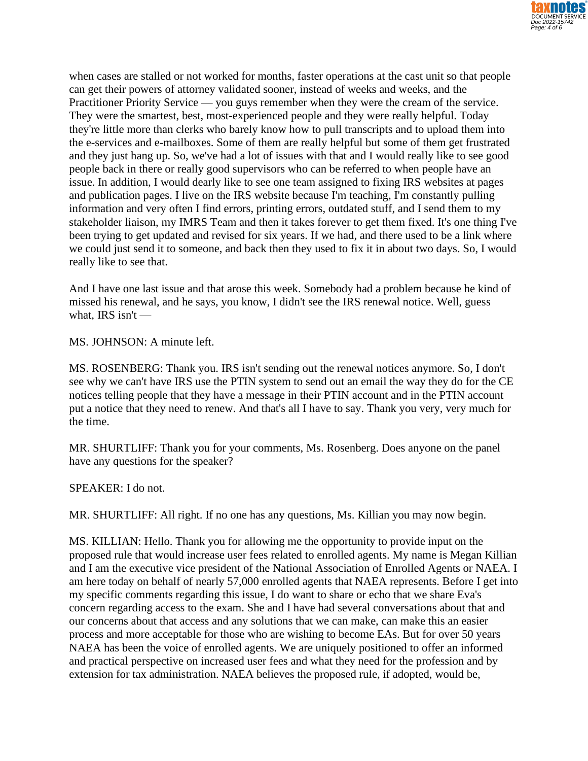

when cases are stalled or not worked for months, faster operations at the cast unit so that people can get their powers of attorney validated sooner, instead of weeks and weeks, and the Practitioner Priority Service — you guys remember when they were the cream of the service. They were the smartest, best, most-experienced people and they were really helpful. Today they're little more than clerks who barely know how to pull transcripts and to upload them into the e-services and e-mailboxes. Some of them are really helpful but some of them get frustrated and they just hang up. So, we've had a lot of issues with that and I would really like to see good people back in there or really good supervisors who can be referred to when people have an issue. In addition, I would dearly like to see one team assigned to fixing IRS websites at pages and publication pages. I live on the IRS website because I'm teaching, I'm constantly pulling information and very often I find errors, printing errors, outdated stuff, and I send them to my stakeholder liaison, my IMRS Team and then it takes forever to get them fixed. It's one thing I've been trying to get updated and revised for six years. If we had, and there used to be a link where we could just send it to someone, and back then they used to fix it in about two days. So, I would really like to see that.

And I have one last issue and that arose this week. Somebody had a problem because he kind of missed his renewal, and he says, you know, I didn't see the IRS renewal notice. Well, guess what, IRS isn't  $-$ 

MS. JOHNSON: A minute left.

MS. ROSENBERG: Thank you. IRS isn't sending out the renewal notices anymore. So, I don't see why we can't have IRS use the PTIN system to send out an email the way they do for the CE notices telling people that they have a message in their PTIN account and in the PTIN account put a notice that they need to renew. And that's all I have to say. Thank you very, very much for the time.

MR. SHURTLIFF: Thank you for your comments, Ms. Rosenberg. Does anyone on the panel have any questions for the speaker?

### SPEAKER: I do not.

MR. SHURTLIFF: All right. If no one has any questions, Ms. Killian you may now begin.

MS. KILLIAN: Hello. Thank you for allowing me the opportunity to provide input on the proposed rule that would increase user fees related to enrolled agents. My name is Megan Killian and I am the executive vice president of the National Association of Enrolled Agents or NAEA. I am here today on behalf of nearly 57,000 enrolled agents that NAEA represents. Before I get into my specific comments regarding this issue, I do want to share or echo that we share Eva's concern regarding access to the exam. She and I have had several conversations about that and our concerns about that access and any solutions that we can make, can make this an easier process and more acceptable for those who are wishing to become EAs. But for over 50 years NAEA has been the voice of enrolled agents. We are uniquely positioned to offer an informed and practical perspective on increased user fees and what they need for the profession and by extension for tax administration. NAEA believes the proposed rule, if adopted, would be,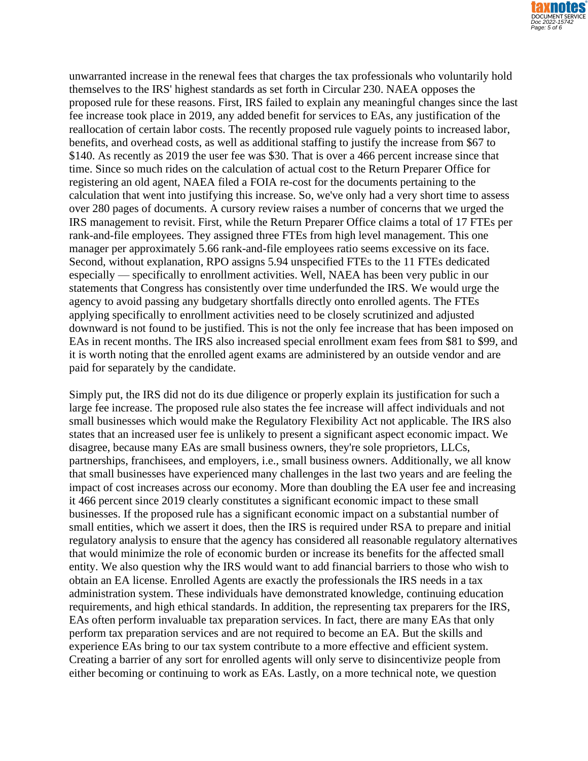

unwarranted increase in the renewal fees that charges the tax professionals who voluntarily hold themselves to the IRS' highest standards as set forth in Circular 230. NAEA opposes the proposed rule for these reasons. First, IRS failed to explain any meaningful changes since the last fee increase took place in 2019, any added benefit for services to EAs, any justification of the reallocation of certain labor costs. The recently proposed rule vaguely points to increased labor, benefits, and overhead costs, as well as additional staffing to justify the increase from \$67 to \$140. As recently as 2019 the user fee was \$30. That is over a 466 percent increase since that time. Since so much rides on the calculation of actual cost to the Return Preparer Office for registering an old agent, NAEA filed a FOIA re-cost for the documents pertaining to the calculation that went into justifying this increase. So, we've only had a very short time to assess over 280 pages of documents. A cursory review raises a number of concerns that we urged the IRS management to revisit. First, while the Return Preparer Office claims a total of 17 FTEs per rank-and-file employees. They assigned three FTEs from high level management. This one manager per approximately 5.66 rank-and-file employees ratio seems excessive on its face. Second, without explanation, RPO assigns 5.94 unspecified FTEs to the 11 FTEs dedicated especially — specifically to enrollment activities. Well, NAEA has been very public in our statements that Congress has consistently over time underfunded the IRS. We would urge the agency to avoid passing any budgetary shortfalls directly onto enrolled agents. The FTEs applying specifically to enrollment activities need to be closely scrutinized and adjusted downward is not found to be justified. This is not the only fee increase that has been imposed on EAs in recent months. The IRS also increased special enrollment exam fees from \$81 to \$99, and it is worth noting that the enrolled agent exams are administered by an outside vendor and are paid for separately by the candidate.

Simply put, the IRS did not do its due diligence or properly explain its justification for such a large fee increase. The proposed rule also states the fee increase will affect individuals and not small businesses which would make the Regulatory Flexibility Act not applicable. The IRS also states that an increased user fee is unlikely to present a significant aspect economic impact. We disagree, because many EAs are small business owners, they're sole proprietors, LLCs, partnerships, franchisees, and employers, i.e., small business owners. Additionally, we all know that small businesses have experienced many challenges in the last two years and are feeling the impact of cost increases across our economy. More than doubling the EA user fee and increasing it 466 percent since 2019 clearly constitutes a significant economic impact to these small businesses. If the proposed rule has a significant economic impact on a substantial number of small entities, which we assert it does, then the IRS is required under RSA to prepare and initial regulatory analysis to ensure that the agency has considered all reasonable regulatory alternatives that would minimize the role of economic burden or increase its benefits for the affected small entity. We also question why the IRS would want to add financial barriers to those who wish to obtain an EA license. Enrolled Agents are exactly the professionals the IRS needs in a tax administration system. These individuals have demonstrated knowledge, continuing education requirements, and high ethical standards. In addition, the representing tax preparers for the IRS, EAs often perform invaluable tax preparation services. In fact, there are many EAs that only perform tax preparation services and are not required to become an EA. But the skills and experience EAs bring to our tax system contribute to a more effective and efficient system. Creating a barrier of any sort for enrolled agents will only serve to disincentivize people from either becoming or continuing to work as EAs. Lastly, on a more technical note, we question